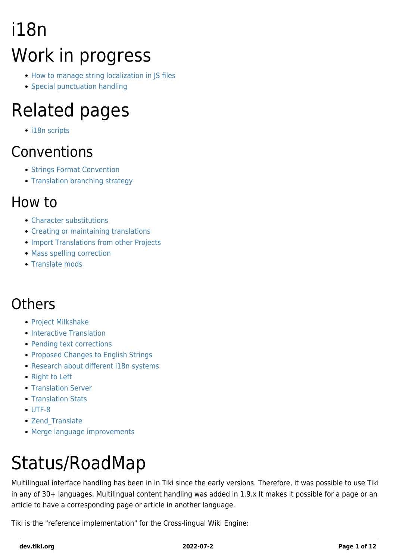# i18n Work in progress

- [How to manage string localization in JS files](https://dev.tiki.org/How-to-manage-string-localization-in-JS-files)
- [Special punctuation handling](https://dev.tiki.org/Special-punctuation-handling)

### Related pages

• [i18n scripts](https://dev.tiki.org/i18n-scripts)

#### Conventions

- [Strings Format Convention](https://dev.tiki.org/Strings-Format-Convention)
- [Translation branching strategy](http://tiki.org/Translation%20branching%20strategy)

#### How to

- [Character substitutions](https://dev.tiki.org/Character-substitutions)
- [Creating or maintaining translations](https://dev.tiki.org/Creating-or-maintaining-translations)
- **. [Import Translations from other Projects](https://dev.tiki.org/Import-Translations-from-other-Projects)**
- [Mass spelling correction](https://dev.tiki.org/Mass-spelling-correction)
- [Translate mods](https://dev.tiki.org/Translate-mods)

#### **Others**

- [Project Milkshake](https://dev.tiki.org/Project-Milkshake)
- [Interactive Translation](https://dev.tiki.org/Interactive-translation)
- [Pending text corrections](https://dev.tiki.org/Pending-text-corrections)
- [Proposed Changes to English Strings](https://dev.tiki.org/Proposed-Changes-to-English-Strings)
- [Research about different i18n systems](https://dev.tiki.org/Research-about-different-i18n-systems)
- [Right to Left](https://dev.tiki.org/Right-to-Left)
- [Translation Server](http://tiki.org/Translation%20Server)
- [Translation Stats](http://tiki.org/Translation%20Stats)
- [UTF-8](http://tiki.org/UTF-8)
- Zend Translate
- [Merge language improvements](https://dev.tiki.org/Merge-language-improvements)

# Status/RoadMap

Multilingual interface handling has been in in Tiki since the early versions. Therefore, it was possible to use Tiki in any of 30+ languages. Multilingual content handling was added in 1.9.x It makes it possible for a page or an article to have a corresponding page or article in another language.

Tiki is the "reference implementation" for the Cross-lingual Wiki Engine: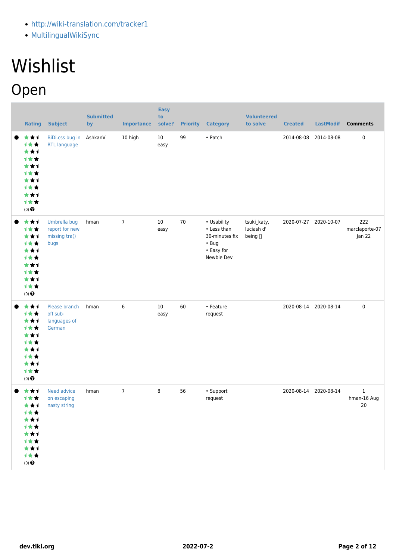- <http://wiki-translation.com/tracker1>
- [MultilingualWikiSync](https://dev.tiki.org/MultilingualWikiSync)

# **Wishlist**

## Open

| <b>Rating</b>                                                                              | <b>Subject</b>                                          | <b>Submitted</b><br>by | <b>Importance</b> | <b>Easy</b><br>to<br>solve? | <b>Priority</b> | <b>Category</b>                                                                         | <b>Volunteered</b><br>to solve        | <b>Created</b>        | <b>LastModif</b> | <b>Comments</b>                  |
|--------------------------------------------------------------------------------------------|---------------------------------------------------------|------------------------|-------------------|-----------------------------|-----------------|-----------------------------------------------------------------------------------------|---------------------------------------|-----------------------|------------------|----------------------------------|
| ***<br>1★★<br>***<br><b>1**</b><br>***<br>1★★<br>***<br>计女女<br>***<br>1★★<br>$(0)$ $\odot$ | <b>BiDi.css bug in</b><br><b>RTL language</b>           | AshkanV                | 10 high           | 10<br>easy                  | 99              | • Patch                                                                                 |                                       | 2014-08-08            | 2014-08-08       | $\pmb{0}$                        |
| ***<br>计女女<br>***<br>1★★<br>***<br>1★★<br>***<br>1★★<br>***<br>1★★<br>$(0)$ $\odot$        | Umbrella bug<br>report for new<br>missing tra()<br>bugs | hman                   | $\overline{7}$    | 10<br>easy                  | 70              | • Usability<br>• Less than<br>30-minutes fix<br>$\cdot$ Bug<br>• Easy for<br>Newbie Dev | tsuki_katy,<br>luciash d'<br>being [] | 2020-07-27 2020-10-07 |                  | 222<br>marclaporte-07<br>Jan 22  |
| ***<br>计女女<br>***<br>1★★<br>***<br><b>1**</b><br>***<br>1★★<br>***<br>1★★<br>$(0)$ $\odot$ | Please branch<br>off sub-<br>languages of<br>German     | hman                   | 6                 | 10<br>easy                  | 60              | • Feature<br>request                                                                    |                                       | 2020-08-14 2020-08-14 |                  | $\pmb{0}$                        |
| ★★↑<br>计女女<br>***<br>计女女<br>***<br>计女女<br>***<br>1★★<br>***<br>计女女<br>$(0)$ $\odot$        | Need advice<br>on escaping<br>nasty string              | hman                   | $\overline{7}$    | 8                           | 56              | • Support<br>request                                                                    |                                       | 2020-08-14 2020-08-14 |                  | $\mathbf 1$<br>hman-16 Aug<br>20 |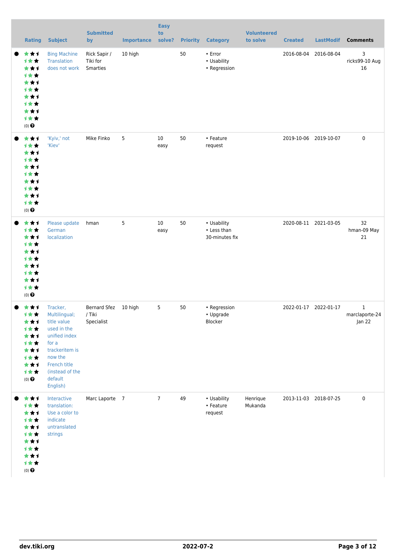| <b>Rating</b>                                                                              | <b>Subject</b>                                                                                                                                                           | <b>Submitted</b><br>by                       | <b>Importance</b> | <b>Easy</b><br>to<br>solve? | <b>Priority</b> | <b>Category</b>                              | <b>Volunteered</b><br>to solve | <b>Created</b>        | <b>LastModif</b>      | <b>Comments</b>                          |
|--------------------------------------------------------------------------------------------|--------------------------------------------------------------------------------------------------------------------------------------------------------------------------|----------------------------------------------|-------------------|-----------------------------|-----------------|----------------------------------------------|--------------------------------|-----------------------|-----------------------|------------------------------------------|
| ***<br>1★★<br>***<br>计女女<br>***<br><b>1**</b><br>***<br>计女女<br>***<br>1★★<br>$(0)$ $\odot$ | <b>Bing Machine</b><br><b>Translation</b><br>does not work                                                                                                               | Rick Sapir /<br>Tiki for<br>Smarties         | 10 high           |                             | 50              | • Error<br>• Usability<br>• Regression       |                                | 2016-08-04            | 2016-08-04            | 3<br>ricks99-10 Aug<br>16                |
| ***<br><b>1**</b><br>***<br>计女女<br>***<br>计女女<br>★★1<br><b>1**</b><br>***<br>计女女<br>(0)    | 'Kyiv,' not<br>'Kiev'                                                                                                                                                    | Mike Finko                                   | 5                 | 10<br>easy                  | 50              | • Feature<br>request                         |                                | 2019-10-06 2019-10-07 |                       | $\pmb{0}$                                |
| ***<br>计女女<br>***<br>计女女<br>***<br>计女女<br>★★1<br><b>1**</b><br>***<br>1★★<br>(0)           | Please update<br>German<br>localization                                                                                                                                  | hman                                         | 5                 | $10\,$<br>easy              | 50              | • Usability<br>• Less than<br>30-minutes fix |                                |                       | 2020-08-11 2021-03-05 | 32<br>hman-09 May<br>21                  |
| ***<br>计女女<br>★★↑<br>才女女<br>★★1<br>计女女<br>***<br>计女女<br>***<br>1★★<br>$(0)$ $\odot$        | Tracker,<br>Multilingual;<br>title value<br>used in the<br>unified index<br>for a<br>trackeritem is<br>now the<br>French title<br>(instead of the<br>default<br>English) | Bernard Sfez 10 high<br>/ Tiki<br>Specialist |                   | 5                           | 50              | • Regression<br>• Upgrade<br>Blocker         |                                | 2022-01-17 2022-01-17 |                       | $\mathbf{1}$<br>marclaporte-24<br>Jan 22 |
| ***<br>计女女<br>***<br>计女女<br>★★1<br>计女女<br>***<br>才女女<br>***<br>1★★<br>$(0)$ $\odot$        | Interactive<br>translation:<br>Use a color to<br>indicate<br>untranslated<br>strings                                                                                     | Marc Laporte 7                               |                   | $\overline{7}$              | 49              | • Usability<br>• Feature<br>request          | Henrique<br>Mukanda            | 2013-11-03 2018-07-25 |                       | 0                                        |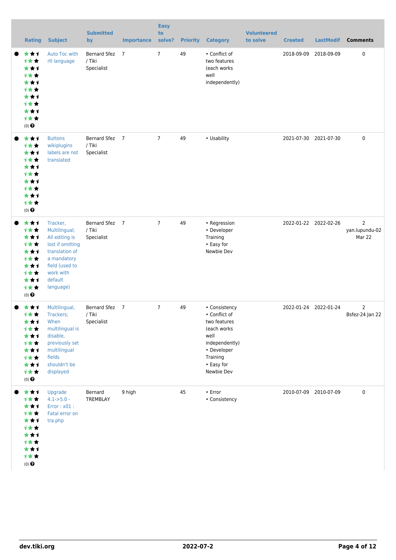| <b>Rating</b>                                                                                                    | <b>Subject</b>                                                                                                                                          | <b>Submitted</b><br>by                      | <b>Importance</b> | <b>Easy</b><br>to<br>solve? | <b>Priority</b> | <b>Category</b>                                                                                                                                | <b>Volunteered</b><br>to solve | <b>Created</b> | <b>LastModif</b>      | <b>Comments</b>                            |
|------------------------------------------------------------------------------------------------------------------|---------------------------------------------------------------------------------------------------------------------------------------------------------|---------------------------------------------|-------------------|-----------------------------|-----------------|------------------------------------------------------------------------------------------------------------------------------------------------|--------------------------------|----------------|-----------------------|--------------------------------------------|
| ***<br>1★★<br>***<br>1★★<br>***<br><b>1**</b><br>***<br><b>1**</b><br>***<br>计女女<br>$(0)$ $\odot$                | Auto Toc with<br>rtl language                                                                                                                           | <b>Bernard Sfez</b><br>/ Tiki<br>Specialist | $\overline{7}$    | $\overline{7}$              | 49              | • Conflict of<br>two features<br>(each works<br>well<br>independently)                                                                         |                                | 2018-09-09     | 2018-09-09            | 0                                          |
| ★★1<br><b>1**</b><br>***<br><b>1**</b><br>***<br><b>1**</b><br>***<br><b>1**</b><br>***<br>计女女<br>$(0)$ $\Theta$ | <b>Buttons</b><br>wikiplugins<br>labels are not<br>translated                                                                                           | Bernard Sfez 7<br>/ Tiki<br>Specialist      |                   | $\overline{7}$              | 49              | • Usability                                                                                                                                    |                                |                | 2021-07-30 2021-07-30 | 0                                          |
| ★★1<br>1★★<br>★★1<br>1★★<br>***<br>1★★<br>***<br><b>1**</b><br>***<br>1★★<br>$(0)$ $\odot$                       | Tracker,<br>Multilingual;<br>All editing is<br>lost if omitting<br>translation of<br>a mandatory<br>field (used to<br>work with<br>default<br>language) | Bernard Sfez 7<br>/ Tiki<br>Specialist      |                   | $\overline{7}$              | 49              | • Regression<br>• Developer<br>Training<br>• Easy for<br>Newbie Dev                                                                            |                                |                | 2022-01-22 2022-02-26 | $\overline{2}$<br>yan.lupundu-02<br>Mar 22 |
| ***<br>1★★<br>***<br>计女女<br>***<br>计女女<br>***<br>计女女<br>***<br>1★★<br>$(0)$ $\Theta$                             | Multilingual,<br>Trackers;<br>When<br>multilingual is<br>disable,<br>previously set<br>multilingual<br>fields<br>shouldn't be<br>displayed              | Bernard Sfez 7<br>/ Tiki<br>Specialist      |                   | $\overline{7}$              | 49              | • Consistency<br>• Conflict of<br>two features<br>(each works<br>well<br>independently)<br>• Developer<br>Training<br>• Easy for<br>Newbie Dev |                                |                | 2022-01-24 2022-01-24 | 2<br>Bsfez-24 Jan 22                       |
| ***<br>计女女<br>***<br>1★★<br>***<br>计女女<br>***<br>计女女<br>***<br>计女女<br>$(0)$<br>$\pmb{\Theta}$                    | Upgrade<br>$4.1 - 5.0 -$<br>Error: x01:<br>Fatal error on<br>tra.php                                                                                    | Bernard<br>TREMBLAY                         | 9 high            |                             | 45              | $\cdot$ Error<br>• Consistency                                                                                                                 |                                |                | 2010-07-09 2010-07-09 | $\pmb{0}$                                  |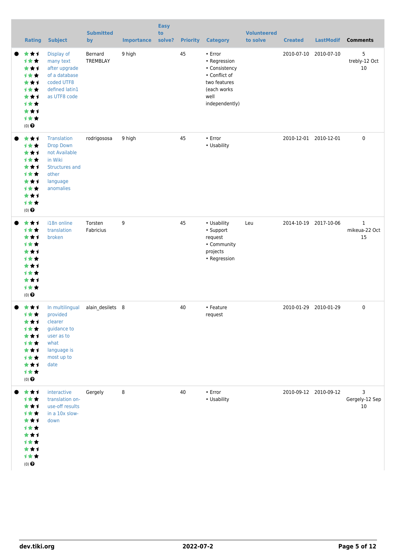| <b>Rating</b>                                                                                                    | <b>Subject</b>                                                                                                                | <b>Submitted</b><br>by | <b>Importance</b> | <b>Easy</b><br>to<br>solve? | <b>Priority</b> | <b>Category</b>                                                                                                          | <b>Volunteered</b><br>to solve | <b>Created</b> | <b>LastModif</b>      | <b>Comments</b>                     |
|------------------------------------------------------------------------------------------------------------------|-------------------------------------------------------------------------------------------------------------------------------|------------------------|-------------------|-----------------------------|-----------------|--------------------------------------------------------------------------------------------------------------------------|--------------------------------|----------------|-----------------------|-------------------------------------|
| ★★1<br>1★★<br>***<br><b>1**</b><br>***<br><b>1**</b><br>***<br><b>1**</b><br>***<br><b>1**</b><br>$(0)$ $\Theta$ | Display of<br>many text<br>after upgrade<br>of a database<br>coded UTF8<br>defined latin1<br>as UTF8 code                     | Bernard<br>TREMBLAY    | 9 high            |                             | 45              | $\cdot$ Error<br>• Regression<br>• Consistency<br>• Conflict of<br>two features<br>(each works<br>well<br>independently) |                                | 2010-07-10     | 2010-07-10            | 5<br>trebly-12 Oct<br>10            |
| ★★1<br>1★★<br>***<br>***<br>***<br><b>1**</b><br>***<br><b>1**</b><br>***<br>计女女<br>$(0)$ $\Theta$               | <b>Translation</b><br><b>Drop Down</b><br>not Available<br>in Wiki<br><b>Structures and</b><br>other<br>language<br>anomalies | rodrigososa            | 9 high            |                             | 45              | $\cdot$ Error<br>• Usability                                                                                             |                                |                | 2010-12-01 2010-12-01 | $\mathbf 0$                         |
| ***<br>1★★<br>***<br>1★★<br>***<br><b>1**</b><br>***<br><b>1**</b><br>***<br>1★★<br>$(0)$ $\odot$                | i18n online<br>translation<br>broken                                                                                          | Torsten<br>Fabricius   | 9                 |                             | 45              | • Usability<br>• Support<br>request<br>• Community<br>projects<br>• Regression                                           | Leu                            |                | 2014-10-19 2017-10-06 | $\mathbf{1}$<br>mikeua-22 Oct<br>15 |
| ★★1<br>1★★<br>★★↑<br>计女女<br>***<br>计女女<br>***<br><b>1**</b><br>***<br>计女女<br>$(0)$<br>$\pmb{\Theta}$             | In multilingual<br>provided<br>clearer<br>guidance to<br>user as to<br>what<br>language is<br>most up to<br>date              | alain_desilets 8       |                   |                             | 40              | • Feature<br>request                                                                                                     |                                |                | 2010-01-29 2010-01-29 | 0                                   |
| ***<br>计女女<br>***<br><b>1**</b><br>***<br>1★★<br>***<br>计女女<br>***<br>1★★<br>$(0)$ $\odot$                       | interactive<br>translation on-<br>use-off results<br>in a 10x slow-<br>down                                                   | Gergely                | 8                 |                             | 40              | $\cdot$ Error<br>• Usability                                                                                             |                                |                | 2010-09-12 2010-09-12 | 3<br>Gergely-12 Sep<br>10           |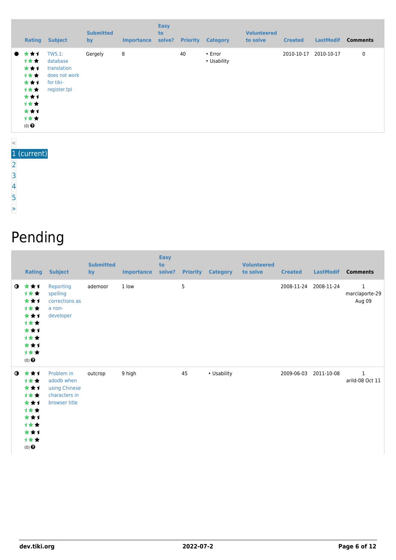|                  | Rating                                                                              | <b>Subject</b>                                                                  | <b>Submitted</b><br>by | <b>Importance</b> | <b>Easy</b><br>to<br>solve? | <b>Priority</b> | <b>Category</b>        | <b>Volunteered</b><br>to solve | <b>Created</b> | <b>LastModif</b> | <b>Comments</b> |
|------------------|-------------------------------------------------------------------------------------|---------------------------------------------------------------------------------|------------------------|-------------------|-----------------------------|-----------------|------------------------|--------------------------------|----------------|------------------|-----------------|
| $\bullet$        | ***<br>计女女<br>***<br>计女女<br>***<br>计女女<br>***<br>计女女<br>***<br>计女女<br>$(0)$ $\odot$ | TW5.1:<br>database<br>translation<br>does not work<br>for tiki-<br>register.tpl | Gergely                | 8                 |                             | 40              | • Error<br>• Usability |                                | 2010-10-17     | 2010-10-17       | 0               |
| $\overline{\ll}$ |                                                                                     |                                                                                 |                        |                   |                             |                 |                        |                                |                |                  |                 |

#### 1 (current)

- [2](https://dev.tiki.org/tiki-print.php?page=i18n&tr_offset1=20)
- [3](https://dev.tiki.org/tiki-print.php?page=i18n&tr_offset1=40)
- [4](https://dev.tiki.org/tiki-print.php?page=i18n&tr_offset1=60)
- 
- [5](https://dev.tiki.org/tiki-print.php?page=i18n&tr_offset1=80)
- [»](https://dev.tiki.org/tiki-print.php?page=i18n&tr_offset1=20)

#### Pending

|           | <b>Rating</b>                                                                                             | <b>Subject</b>                                                              | <b>Submitted</b><br>by | <b>Importance</b> | <b>Easy</b><br>to<br>solve? |            | <b>Priority Category</b> | <b>Volunteered</b><br>to solve | <b>Created</b> | <b>LastModif</b> | <b>Comments</b>                          |
|-----------|-----------------------------------------------------------------------------------------------------------|-----------------------------------------------------------------------------|------------------------|-------------------|-----------------------------|------------|--------------------------|--------------------------------|----------------|------------------|------------------------------------------|
| $\bullet$ | ***<br>计女女<br>***<br>计女女<br>***<br>计女女<br>***<br>计女女<br>***<br>计女女<br>$(0)$ $\odot$                       | Reporting<br>spelling<br>corrections as<br>a non-<br>developer              | ademoor                | 1 low             |                             | $\sqrt{5}$ |                          |                                | 2008-11-24     | 2008-11-24       | $\mathbf{1}$<br>marclaporte-29<br>Aug 09 |
| $\bullet$ | ***<br>计女女<br>***<br>计女女<br>***<br>计女女<br>***<br>计女女<br>***<br>计女女<br>$(0)$ <sup><math>\odot</math></sup> | Problem in<br>adodb when<br>using Chinese<br>characters in<br>browser title | outcrop                | 9 high            |                             | 45         | • Usability              |                                | 2009-06-03     | 2011-10-08       | 1<br>arild-08 Oct 11                     |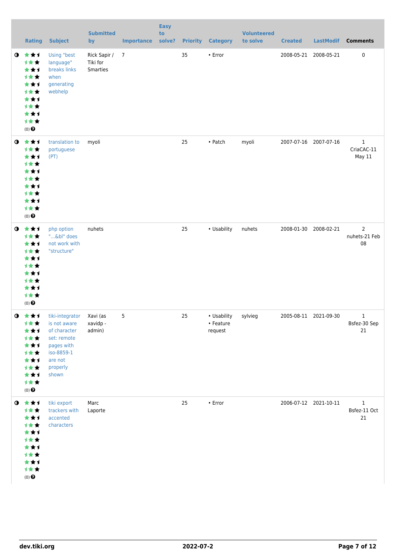|           | <b>Rating</b>                                                                                                    | <b>Subject</b>                                                                                                             | <b>Submitted</b><br>by               | <b>Importance</b> | <b>Easy</b><br>to<br>solve? |    | <b>Priority Category</b>            | <b>Volunteered</b><br>to solve | <b>Created</b> | <b>LastModif</b>      | <b>Comments</b>                       |
|-----------|------------------------------------------------------------------------------------------------------------------|----------------------------------------------------------------------------------------------------------------------------|--------------------------------------|-------------------|-----------------------------|----|-------------------------------------|--------------------------------|----------------|-----------------------|---------------------------------------|
| $\bullet$ | 大女子<br>计女女<br>***<br>计女女<br>***<br>1★★<br>***<br>计女女<br>***<br>计女女<br>$(0)$ $\odot$                              | Using "best<br>language"<br>breaks links<br>when<br>generating<br>webhelp                                                  | Rick Sapir /<br>Tiki for<br>Smarties | $\overline{7}$    |                             | 35 | • Error                             |                                | 2008-05-21     | 2008-05-21            | $\pmb{0}$                             |
| $\bullet$ | 大女子<br>计女女<br>***<br>计女女<br>***<br>计女女<br>***<br><b>1**</b><br>***<br>计女女<br>$(0)$ $\odot$                       | translation to<br>portuguese<br>(PT)                                                                                       | myoli                                |                   |                             | 25 | • Patch                             | myoli                          |                | 2007-07-16 2007-07-16 | $\mathbf{1}$<br>CriaCAC-11<br>May 11  |
| $\bullet$ | 女女子<br>计女女<br>***<br>计女女<br>***<br>计女女<br>***<br><b>1**</b><br>***<br>1★★<br>$(0)$ <sup><math>\odot</math></sup> | php option<br>"&bl" does<br>not work with<br>"structure"                                                                   | nuhets                               |                   |                             | 25 | • Usability                         | nuhets                         | 2008-01-30     | 2008-02-21            | $\overline{2}$<br>nuhets-21 Feb<br>08 |
|           | $0 \star \star 1$<br>计女女<br>★★1<br>才女女<br>***<br>计女女<br>***<br>计女女<br>***<br>计女女<br>$(0)$ $\odot$                | tiki-integrator<br>is not aware<br>of character<br>set: remote<br>pages with<br>iso-8859-1<br>are not<br>properly<br>shown | Xavi (as<br>xavidp -<br>admin)       | 5                 |                             | 25 | • Usability<br>• Feature<br>request | sylvieg                        |                | 2005-08-11 2021-09-30 | 1<br>Bsfez-30 Sep<br>21               |
|           | $0$ $\star$ $\star$ $1$<br>计女女<br>***<br>计女女<br>★★1<br>1★★<br>★★1<br>计女女<br>***<br>计女女<br>$(0)$ $\odot$          | tiki export<br>trackers with<br>accented<br>characters                                                                     | Marc<br>Laporte                      |                   |                             | 25 | • Error                             |                                |                | 2006-07-12 2021-10-11 | $\mathbf 1$<br>Bsfez-11 Oct<br>21     |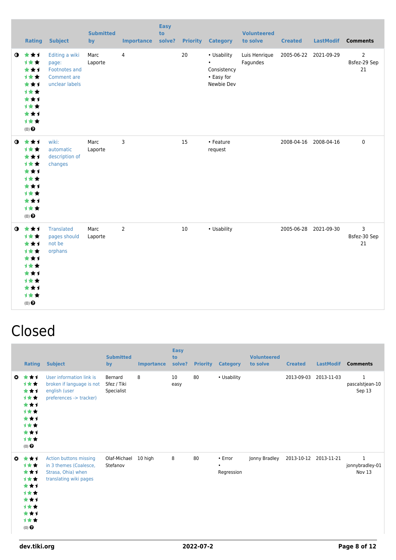|             | <b>Rating</b>                                                                                                       | <b>Subject</b>                                                                   | <b>Submitted</b><br>by | <b>Importance</b> | <b>Easy</b><br>to<br>solve? | <b>Priority</b> | <b>Category</b>                                                     | <b>Volunteered</b><br>to solve | <b>Created</b> | <b>LastModif</b>      | <b>Comments</b>                      |
|-------------|---------------------------------------------------------------------------------------------------------------------|----------------------------------------------------------------------------------|------------------------|-------------------|-----------------------------|-----------------|---------------------------------------------------------------------|--------------------------------|----------------|-----------------------|--------------------------------------|
| $\mathbf o$ | ***<br>计女女<br>***<br>1★★<br>***<br>1★★<br>***<br>1★★<br>***<br>计女女<br>$(0)$ $\odot$                                 | Editing a wiki<br>page:<br><b>Footnotes and</b><br>Comment are<br>unclear labels | Marc<br>Laporte        | 4                 |                             | 20              | • Usability<br>$\bullet$<br>Consistency<br>• Easy for<br>Newbie Dev | Luis Henrique<br>Fagundes      |                | 2005-06-22 2021-09-29 | $\overline{2}$<br>Bsfez-29 Sep<br>21 |
| $\mathbf 0$ | 女女士<br><b>1**</b><br>***<br><b>1**</b><br>***<br><b>1**</b><br>***<br>***<br>***<br><b>1**</b><br>$(0)$ $\odot$     | wiki:<br>automatic<br>description of<br>changes                                  | Marc<br>Laporte        | 3                 |                             | 15              | • Feature<br>request                                                |                                |                | 2008-04-16 2008-04-16 | $\pmb{0}$                            |
|             | $0 \star \star \star$<br>1★★<br>***<br>计女女<br>***<br><b>1**</b><br>***<br><b>1**</b><br>***<br>计女女<br>$(0)$ $\odot$ | <b>Translated</b><br>pages should<br>not be<br>orphans                           | Marc<br>Laporte        | $\overline{2}$    |                             | 10              | • Usability                                                         |                                |                | 2005-06-28 2021-09-30 | 3<br>Bsfez-30 Sep<br>21              |

#### Closed

|                       | <b>Rating</b>                                                                              | <b>Subject</b>                                                                                          | <b>Submitted</b><br>by               | <b>Importance</b> | <b>Easy</b><br>to<br>solve? | <b>Priority</b> | <b>Category</b>                    | <b>Volunteered</b><br>to solve | <b>Created</b> | <b>LastModif</b> | <b>Comments</b>                           |
|-----------------------|--------------------------------------------------------------------------------------------|---------------------------------------------------------------------------------------------------------|--------------------------------------|-------------------|-----------------------------|-----------------|------------------------------------|--------------------------------|----------------|------------------|-------------------------------------------|
| $\mathbf{c}$          | ***<br><b>1**</b><br>***<br>计女女<br>***<br>计女女<br>***<br>计女女<br>***<br>计女女<br>$(0)$ $\odot$ | User information link is<br>broken if language is not<br>english (user<br>preferences -> tracker)       | Bernard<br>Sfez / Tiki<br>Specialist | 8                 | 10<br>easy                  | 80              | • Usability                        |                                | 2013-09-03     | 2013-11-03       | $\mathbf{1}$<br>pascalstjean-10<br>Sep 13 |
| $\boldsymbol{\Omega}$ | ***<br>计女女<br>***<br>1★★<br>***<br>计女女<br>***<br>计女女<br>***<br>计女女<br>$(0)$ $\odot$        | <b>Action buttons missing</b><br>in 3 themes (Coalesce,<br>Strasa, Ohia) when<br>translating wiki pages | Olaf-Michael<br>Stefanov             | 10 high           | 8                           | 80              | • Error<br>$\bullet$<br>Regression | Jonny Bradley                  | 2013-10-12     | 2013-11-21       | $\mathbf{1}$<br>jonnybradley-01<br>Nov 13 |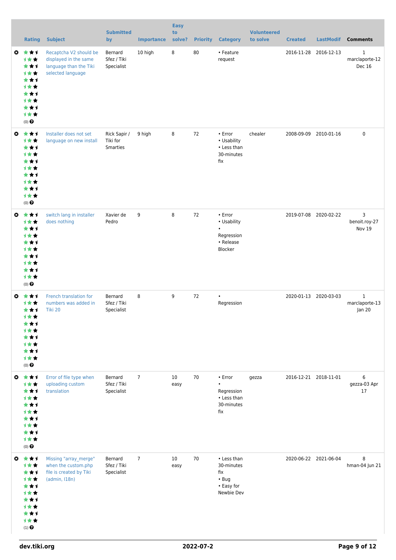|    | <b>Rating</b>                                                                                                           | <b>Subject</b>                                                                                 | <b>Submitted</b><br>by                      | <b>Importance</b> | <b>Easy</b><br>to<br>solve? | <b>Priority</b> | <b>Category</b>                                                                 | <b>Volunteered</b><br>to solve | <b>Created</b> | <b>LastModif</b>      | <b>Comments</b>               |
|----|-------------------------------------------------------------------------------------------------------------------------|------------------------------------------------------------------------------------------------|---------------------------------------------|-------------------|-----------------------------|-----------------|---------------------------------------------------------------------------------|--------------------------------|----------------|-----------------------|-------------------------------|
| O  | ***<br>计女女<br>***<br><b>1**</b><br>***<br>***<br>***<br><b>1**</b><br>***<br>1★★<br>$(0)$ $\odot$                       | Recaptcha V2 should be<br>displayed in the same<br>language than the Tiki<br>selected language | Bernard<br>Sfez / Tiki<br>Specialist        | 10 high           | 8                           | 80              | • Feature<br>request                                                            |                                |                | 2016-11-28 2016-12-13 | 1<br>marclaporte-12<br>Dec 16 |
| O  | ***<br>计女女<br>***<br><b>1**</b><br>***<br><b>1**</b><br>***<br>计女女<br>***<br>计女女<br>$(0)$ <sup><math>\odot</math></sup> | Installer does not set<br>language on new install                                              | Rick Sapir /<br>Tiki for<br><b>Smarties</b> | 9 high            | 8                           | 72              | • Error<br>• Usability<br>• Less than<br>30-minutes<br>fix                      | chealer                        | 2008-09-09     | 2010-01-16            | 0                             |
| O. | ***<br>计女女<br>***<br><b>1**</b><br>***<br><b>1**</b><br>***<br><b>1**</b><br>***<br>计女女<br>$(0)$ $\odot$                | switch lang in installer<br>does nothing                                                       | Xavier de<br>Pedro                          | 9                 | 8                           | 72              | $\cdot$ Error<br>• Usability<br>$\bullet$<br>Regression<br>• Release<br>Blocker |                                |                | 2019-07-08 2020-02-22 | 3<br>benoit.roy-27<br>Nov 19  |
| Ø  | ***<br><b>1**</b><br>***<br>计女女<br>★★1<br>***<br><b>1**</b><br>***<br>1**<br>$(0)$ $\odot$                              | French translation for<br>numbers was added in<br>Tiki 20                                      | Bernard<br>Sfez / Tiki<br>Specialist        | 8                 | 9                           | 72              | Regression                                                                      |                                |                | 2020-01-13 2020-03-03 | 1<br>marclaporte-13<br>Jan 20 |
|    | ◎ ★★1<br>1★★<br>***<br><b>1**</b><br>***<br><b>1**</b><br>***<br>计女女<br>***<br>计女女<br>$(0)$ $\odot$                     | Error of file type when<br>uploading custom<br>translation                                     | Bernard<br>Sfez / Tiki<br>Specialist        | $\overline{7}$    | 10<br>easy                  | 70              | $\cdot$ Error<br>$\bullet$<br>Regression<br>• Less than<br>30-minutes<br>fix    | gezza                          |                | 2016-12-21 2018-11-01 | 6<br>gezza-03 Apr<br>17       |
|    | ◎ ★★1<br>计女女<br>***<br><b>1**</b><br>***<br><b>1**</b><br>***<br><b>1**</b><br>***<br>计女女<br>$(1)$ $\odot$              | Missing "array_merge"<br>when the custom.php<br>file is created by Tiki<br>(admin, I18n)       | Bernard<br>Sfez / Tiki<br>Specialist        | $\overline{7}$    | 10<br>easy                  | 70              | • Less than<br>30-minutes<br>fix<br>$\cdot$ Bug<br>• Easy for<br>Newbie Dev     |                                |                | 2020-06-22 2021-06-04 | 8<br>hman-04 Jun 21           |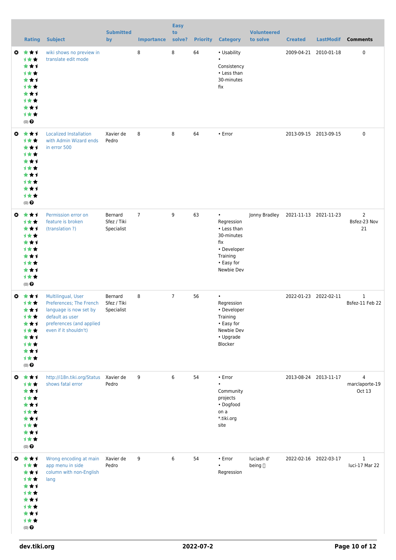|           | <b>Rating</b>                                                                                                                                       | <b>Subject</b>                                                                                                                                  | <b>Submitted</b><br>by               | <b>Importance</b> | <b>Easy</b><br>to<br>solve? | <b>Priority</b> | <b>Category</b>                                                                                                    | <b>Volunteered</b><br>to solve | <b>Created</b> | <b>LastModif</b>      | <b>Comments</b>                      |
|-----------|-----------------------------------------------------------------------------------------------------------------------------------------------------|-------------------------------------------------------------------------------------------------------------------------------------------------|--------------------------------------|-------------------|-----------------------------|-----------------|--------------------------------------------------------------------------------------------------------------------|--------------------------------|----------------|-----------------------|--------------------------------------|
| o.        | ***<br><b>1**</b><br>***<br><b>1**</b><br>***<br><b>1**</b><br>***<br><b>1**</b><br>***<br>1★★<br>(0)                                               | wiki shows no preview in<br>translate edit mode                                                                                                 |                                      | 8                 | 8                           | 64              | • Usability<br>$\bullet$<br>Consistency<br>• Less than<br>30-minutes<br>fix                                        |                                |                | 2009-04-21 2010-01-18 | 0                                    |
|           | $0 \star \star 1$<br><b>1**</b><br>***<br><b>1**</b><br>***<br><b>1**</b><br>***<br><b>1**</b><br>***<br>1★★<br>$(0)$ <sup><math>\odot</math></sup> | <b>Localized Installation</b><br>with Admin Wizard ends<br>in error 500                                                                         | Xavier de<br>Pedro                   | 8                 | 8                           | 64              | • Error                                                                                                            |                                |                | 2013-09-15 2013-09-15 | 0                                    |
| O         | ***<br>1★★<br>***<br><b>1**</b><br>***<br><b>1**</b><br>***<br><b>1**</b><br>***<br>1★★<br>$(0)$ $\odot$                                            | Permission error on<br>feature is broken<br>(translation ?)                                                                                     | Bernard<br>Sfez / Tiki<br>Specialist | $\overline{7}$    | 9                           | 63              | $\bullet$<br>Regression<br>• Less than<br>30-minutes<br>fix<br>• Developer<br>Training<br>• Easy for<br>Newbie Dev | Jonny Bradley                  |                | 2021-11-13 2021-11-23 | $\overline{2}$<br>Bsfez-23 Nov<br>21 |
| O         | ***<br>***<br>***<br>计女女<br>★★1<br><b>1**</b><br>***<br><b>1**</b><br>***<br>计女女<br>$(0)$ $\odot$                                                   | Multilingual, User<br>Preferences; The French<br>language is now set by<br>default as user<br>preferences (and applied<br>even if it shouldn't) | Bernard<br>Sfez / Tiki<br>Specialist | 8                 | $\overline{7}$              | 56              | $\bullet$<br>Regression<br>• Developer<br>Training<br>• Easy for<br>Newbie Dev<br>• Upgrade<br>Blocker             |                                |                | 2022-01-23 2022-02-11 | $\mathbf 1$<br>Bsfez-11 Feb 22       |
|           | ◎ ★★1<br>1★★<br>***<br>计女女<br>***<br><b>1**</b><br>***<br>计女女<br>***<br>计女女<br>$(0)$ $\bigodot$                                                     | http://i18n.tiki.org/Status Xavier de<br>shows fatal error                                                                                      | Pedro                                | 9                 | 6                           | 54              | $\cdot$ Error<br>Community<br>projects<br>• Dogfood<br>on a<br>*.tiki.org<br>site                                  |                                |                | 2013-08-24 2013-11-17 | 4<br>marclaporte-19<br>Oct 13        |
| $\bullet$ | 大大士<br>计女女<br>***<br><b>1★★</b><br>***<br>计女女<br>***<br>计女女<br>***<br>计女女<br>$(0)$ <sup><math>\odot</math></sup>                                    | Wrong encoding at main<br>app menu in side<br>column with non-English<br>lang                                                                   | Xavier de<br>Pedro                   | 9                 | 6                           | 54              | $\cdot$ Error<br>٠<br>Regression                                                                                   | luciash d'<br>being []         |                | 2022-02-16 2022-03-17 | $\mathbf{1}$<br>luci-17 Mar 22       |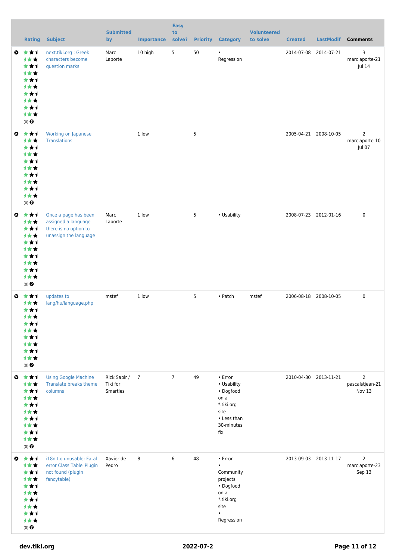|                       | <b>Rating</b>                                                                                                                  | <b>Subject</b>                                                                                | <b>Submitted</b><br>by               | <b>Importance</b> | <b>Easy</b><br>to<br>solve? | <b>Priority</b> | <b>Category</b>                                                                                                           | <b>Volunteered</b><br>to solve | <b>Created</b> | <b>LastModif</b>      | <b>Comments</b>                             |
|-----------------------|--------------------------------------------------------------------------------------------------------------------------------|-----------------------------------------------------------------------------------------------|--------------------------------------|-------------------|-----------------------------|-----------------|---------------------------------------------------------------------------------------------------------------------------|--------------------------------|----------------|-----------------------|---------------------------------------------|
| ◶                     | ***<br><b>1**</b><br>***<br>计女女<br>***<br><b>1**</b><br>***<br><b>1**</b><br>***<br>1★★<br>$(0)$ $\odot$                       | next.tiki.org: Greek<br>characters become<br>question marks                                   | Marc<br>Laporte                      | 10 high           | 5                           | 50              | ٠<br>Regression                                                                                                           |                                |                | 2014-07-08 2014-07-21 | 3<br>marclaporte-21<br>Jul 14               |
| $\bullet$             | ***<br><b>1**</b><br>***<br><b>1**</b><br>***<br><b>1**</b><br>***<br>计女女<br>***<br>1★★<br>$(0)$ <sup><math>\odot</math></sup> | Working on Japanese<br><b>Translations</b>                                                    |                                      | 1 low             |                             | 5               |                                                                                                                           |                                |                | 2005-04-21 2008-10-05 | $\overline{2}$<br>marclaporte-10<br>Jul 07  |
| $\boldsymbol{\omega}$ | ***<br>1★★<br>***<br>1★★<br>***<br><b>1**</b><br>***<br><b>1**</b><br>***<br>1★★<br>(0)                                        | Once a page has been<br>assigned a language<br>there is no option to<br>unassign the language | Marc<br>Laporte                      | 1 low             |                             | 5               | • Usability                                                                                                               |                                |                | 2008-07-23 2012-01-16 | $\mathbf 0$                                 |
| O                     | ***<br>1★★<br>***<br><b>1**</b><br>***<br>1 * *<br>***<br>计女女<br>***<br>计女女<br>$(0)$ $\odot$                                   | updates to<br>lang/hu/language.php                                                            | mstef                                | 1 low             |                             | 5               | • Patch                                                                                                                   | mstef                          |                | 2006-08-18 2008-10-05 | $\mathbf 0$                                 |
| ◎                     | 女女士<br>1★★<br>***<br>1★★<br>***<br>1**<br>***<br><b>1**</b><br>***<br>1★★<br>$(0)$ $\odot$                                     | <b>Using Google Machine</b><br><b>Translate breaks theme</b><br>columns                       | Rick Sapir /<br>Tiki for<br>Smarties | $\overline{7}$    | $\overline{7}$              | 49              | $\cdot$ Error<br>• Usability<br>• Dogfood<br>on a<br>*.tiki.org<br>site<br>• Less than<br>30-minutes<br>fix               |                                |                | 2010-04-30 2013-11-21 | $\overline{2}$<br>pascalstjean-21<br>Nov 13 |
| $\boldsymbol{\omega}$ | ***<br>1★★<br>***<br>计女女<br>***<br>1★★<br>***<br><b>1**</b><br>***<br>计女女<br>$(0)$ $\odot$                                     | i18n.t.o unusable: Fatal<br>error Class Table_Plugin<br>not found (plugin<br>fancytable)      | Xavier de<br>Pedro                   | 8                 | 6                           | 48              | $\cdot$ Error<br>$\bullet$<br>Community<br>projects<br>• Dogfood<br>on a<br>*.tiki.org<br>site<br>$\bullet$<br>Regression |                                |                | 2013-09-03 2013-11-17 | $\overline{2}$<br>marclaporte-23<br>Sep 13  |